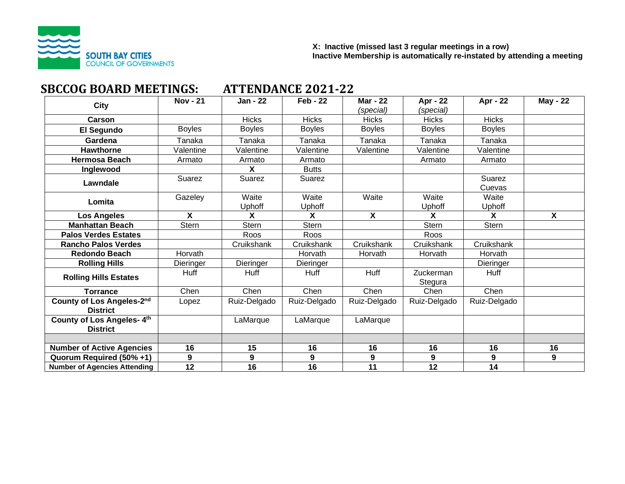

# **SBCCOG BOARD MEETINGS: ATTENDANCE 2021-22**

| <b>City</b>                                  | <b>Nov - 21</b> | Jan - 22        | $Feb - 22$      | <b>Mar - 22</b><br>(special) | Apr - 22<br>(special)  | Apr - 22         | <b>May - 22</b> |
|----------------------------------------------|-----------------|-----------------|-----------------|------------------------------|------------------------|------------------|-----------------|
| Carson                                       |                 | <b>Hicks</b>    | <b>Hicks</b>    | <b>Hicks</b>                 | <b>Hicks</b>           | <b>Hicks</b>     |                 |
| El Segundo                                   | <b>Boyles</b>   | <b>Boyles</b>   | <b>Boyles</b>   | <b>Boyles</b>                | <b>Boyles</b>          | <b>Boyles</b>    |                 |
| Gardena                                      | Tanaka          | Tanaka          | Tanaka          | Tanaka                       | Tanaka                 | Tanaka           |                 |
| <b>Hawthorne</b>                             | Valentine       | Valentine       | Valentine       | Valentine                    | Valentine              | Valentine        |                 |
| <b>Hermosa Beach</b>                         | Armato          | Armato          | Armato          |                              | Armato                 | Armato           |                 |
| Inglewood                                    |                 | X               | <b>Butts</b>    |                              |                        |                  |                 |
| Lawndale                                     | Suarez          | Suarez          | Suarez          |                              |                        | Suarez<br>Cuevas |                 |
| Lomita                                       | Gazeley         | Waite<br>Uphoff | Waite<br>Uphoff | Waite                        | Waite<br><b>Uphoff</b> | Waite<br>Uphoff  |                 |
| <b>Los Angeles</b>                           | X               | X               | X               | $\mathsf{X}$                 | X                      | X                | $\mathsf{x}$    |
| <b>Manhattan Beach</b>                       | Stern           | <b>Stern</b>    | Stern           |                              | Stern                  | Stern            |                 |
| <b>Palos Verdes Estates</b>                  |                 | Roos            | Roos            |                              | Roos                   |                  |                 |
| <b>Rancho Palos Verdes</b>                   |                 | Cruikshank      | Cruikshank      | Cruikshank                   | Cruikshank             | Cruikshank       |                 |
| <b>Redondo Beach</b>                         | Horvath         |                 | Horvath         | Horvath                      | Horvath                | Horvath          |                 |
| <b>Rolling Hills</b>                         | Dieringer       | Dieringer       | Dieringer       |                              |                        | Dieringer        |                 |
| <b>Rolling Hills Estates</b>                 | Huff            | <b>Huff</b>     | <b>Huff</b>     | Huff                         | Zuckerman<br>Stegura   | Huff             |                 |
| <b>Torrance</b>                              | Chen            | Chen            | Chen            | Chen                         | Chen                   | Chen             |                 |
| County of Los Angeles-2nd<br><b>District</b> | Lopez           | Ruiz-Delgado    | Ruiz-Delgado    | Ruiz-Delgado                 | Ruiz-Delgado           | Ruiz-Delgado     |                 |
| County of Los Angeles-4th<br><b>District</b> |                 | LaMarque        | LaMarque        | LaMarque                     |                        |                  |                 |
|                                              |                 |                 |                 |                              |                        |                  |                 |
| <b>Number of Active Agencies</b>             | 16              | 15              | 16              | 16                           | 16                     | 16               | 16              |
| Quorum Required (50% +1)                     | 9               | 9               | 9               | 9                            | 9                      | 9                | 9               |
| <b>Number of Agencies Attending</b>          | 12              | 16              | 16              | 11                           | 12                     | 14               |                 |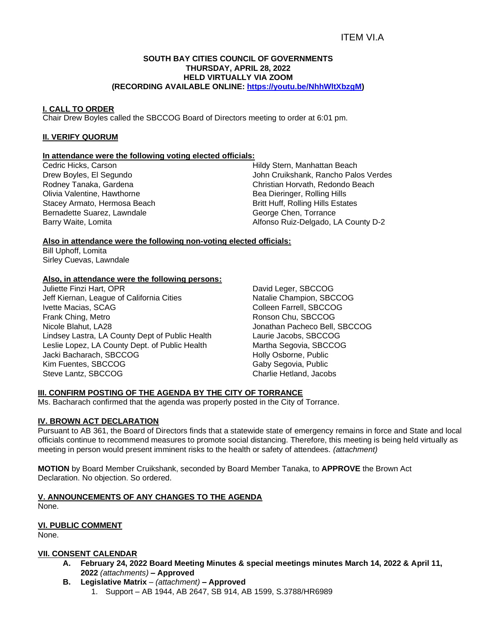## ITEM VI.A

#### **SOUTH BAY CITIES COUNCIL OF GOVERNMENTS THURSDAY, APRIL 28, 2022 HELD VIRTUALLY VIA ZOOM (RECORDING AVAILABLE ONLINE: [https://youtu.be/NhhWltXbzgM\)](https://youtu.be/NhhWltXbzgM)**

#### **I. CALL TO ORDER**

Chair Drew Boyles called the SBCCOG Board of Directors meeting to order at 6:01 pm.

#### **II. VERIFY QUORUM**

#### **In attendance were the following voting elected officials:**

Cedric Hicks, Carson Drew Boyles, El Segundo Rodney Tanaka, Gardena Olivia Valentine, Hawthorne Stacey Armato, Hermosa Beach Bernadette Suarez, Lawndale Barry Waite, Lomita

Hildy Stern, Manhattan Beach John Cruikshank, Rancho Palos Verdes Christian Horvath, Redondo Beach Bea Dieringer, Rolling Hills Britt Huff, Rolling Hills Estates George Chen, Torrance Alfonso Ruiz-Delgado, LA County D-2

#### **Also in attendance were the following non-voting elected officials:**

Bill Uphoff, Lomita Sirley Cuevas, Lawndale

#### **Also, in attendance were the following persons:**

Juliette Finzi Hart, OPR Jeff Kiernan, League of California Cities Ivette Macias, SCAG Frank Ching, Metro Nicole Blahut, LA28 Lindsey Lastra, LA County Dept of Public Health Leslie Lopez, LA County Dept. of Public Health Jacki Bacharach, SBCCOG Kim Fuentes, SBCCOG Steve Lantz, SBCCOG

David Leger, SBCCOG Natalie Champion, SBCCOG Colleen Farrell, SBCCOG Ronson Chu, SBCCOG Jonathan Pacheco Bell, SBCCOG Laurie Jacobs, SBCCOG Martha Segovia, SBCCOG Holly Osborne, Public Gaby Segovia, Public Charlie Hetland, Jacobs

#### **III. CONFIRM POSTING OF THE AGENDA BY THE CITY OF TORRANCE**

Ms. Bacharach confirmed that the agenda was properly posted in the City of Torrance.

#### **IV. BROWN ACT DECLARATION**

Pursuant to AB 361, the Board of Directors finds that a statewide state of emergency remains in force and State and local officials continue to recommend measures to promote social distancing. Therefore, this meeting is being held virtually as meeting in person would present imminent risks to the health or safety of attendees. *(attachment)*

**MOTION** by Board Member Cruikshank, seconded by Board Member Tanaka, to **APPROVE** the Brown Act Declaration. No objection. So ordered.

#### **V. ANNOUNCEMENTS OF ANY CHANGES TO THE AGENDA**

None.

#### **VI. PUBLIC COMMENT**

None.

#### **VII. CONSENT CALENDAR**

- **A. February 24, 2022 Board Meeting Minutes & special meetings minutes March 14, 2022 & April 11, 2022** *(attachments) –* **Approved**
- **B. Legislative Matrix** *– (attachment)* **– Approved**
	- 1. Support AB 1944, AB 2647, SB 914, AB 1599, S.3788/HR6989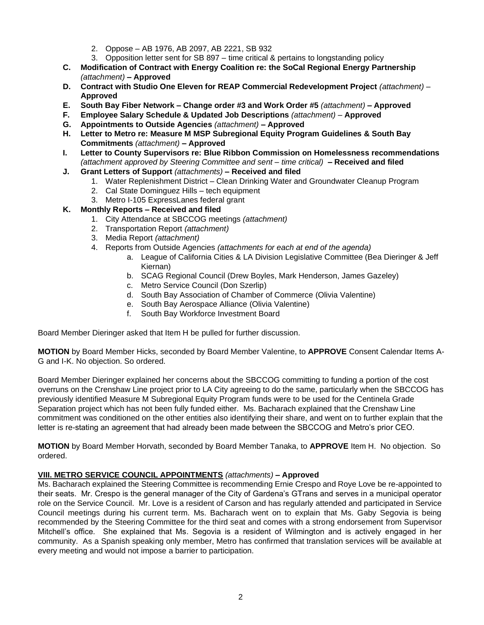- 2. Oppose AB 1976, AB 2097, AB 2221, SB 932
- 3. Opposition letter sent for SB 897 time critical & pertains to longstanding policy
- **C. Modification of Contract with Energy Coalition re: the SoCal Regional Energy Partnership**  *(attachment)* **– Approved**
- **D. Contract with Studio One Eleven for REAP Commercial Redevelopment Project** *(attachment)* **Approved**
- **E. South Bay Fiber Network – Change order #3 and Work Order #5** *(attachment)* **– Approved**
- **F. Employee Salary Schedule & Updated Job Descriptions** *(attachment)* **Approved**
- **G. Appointments to Outside Agencies** *(attachment)* **– Approved**
- **H. Letter to Metro re: Measure M MSP Subregional Equity Program Guidelines & South Bay Commitments** *(attachment)* **– Approved**
- **I. Letter to County Supervisors re: Blue Ribbon Commission on Homelessness recommendations**  *(attachment approved by Steering Committee and sent – time critical) –* **Received and filed**
- **J. Grant Letters of Support** *(attachments)* **– Received and filed**
	- 1. Water Replenishment District Clean Drinking Water and Groundwater Cleanup Program
	- 2. Cal State Dominguez Hills tech equipment
	- 3. Metro I-105 ExpressLanes federal grant
- **K. Monthly Reports – Received and filed**
	- 1. City Attendance at SBCCOG meetings *(attachment)*
	- 2. Transportation Report *(attachment)*
	- 3. Media Report *(attachment)*
	- 4. Reports from Outside Agencies *(attachments for each at end of the agenda)*
		- a. League of California Cities & LA Division Legislative Committee (Bea Dieringer & Jeff Kiernan)
		- b. SCAG Regional Council (Drew Boyles, Mark Henderson, James Gazeley)
		- c. Metro Service Council (Don Szerlip)
		- d. South Bay Association of Chamber of Commerce (Olivia Valentine)
		- e. South Bay Aerospace Alliance (Olivia Valentine)
		- f. South Bay Workforce Investment Board

Board Member Dieringer asked that Item H be pulled for further discussion.

**MOTION** by Board Member Hicks, seconded by Board Member Valentine, to **APPROVE** Consent Calendar Items A-G and I-K. No objection. So ordered.

Board Member Dieringer explained her concerns about the SBCCOG committing to funding a portion of the cost overruns on the Crenshaw Line project prior to LA City agreeing to do the same, particularly when the SBCCOG has previously identified Measure M Subregional Equity Program funds were to be used for the Centinela Grade Separation project which has not been fully funded either. Ms. Bacharach explained that the Crenshaw Line commitment was conditioned on the other entities also identifying their share, and went on to further explain that the letter is re-stating an agreement that had already been made between the SBCCOG and Metro's prior CEO.

**MOTION** by Board Member Horvath, seconded by Board Member Tanaka, to **APPROVE** Item H. No objection. So ordered.

#### **VIII. METRO SERVICE COUNCIL APPOINTMENTS** *(attachments)* **– Approved**

Ms. Bacharach explained the Steering Committee is recommending Ernie Crespo and Roye Love be re-appointed to their seats. Mr. Crespo is the general manager of the City of Gardena's GTrans and serves in a municipal operator role on the Service Council. Mr. Love is a resident of Carson and has regularly attended and participated in Service Council meetings during his current term. Ms. Bacharach went on to explain that Ms. Gaby Segovia is being recommended by the Steering Committee for the third seat and comes with a strong endorsement from Supervisor Mitchell's office. She explained that Ms. Segovia is a resident of Wilmington and is actively engaged in her community. As a Spanish speaking only member, Metro has confirmed that translation services will be available at every meeting and would not impose a barrier to participation.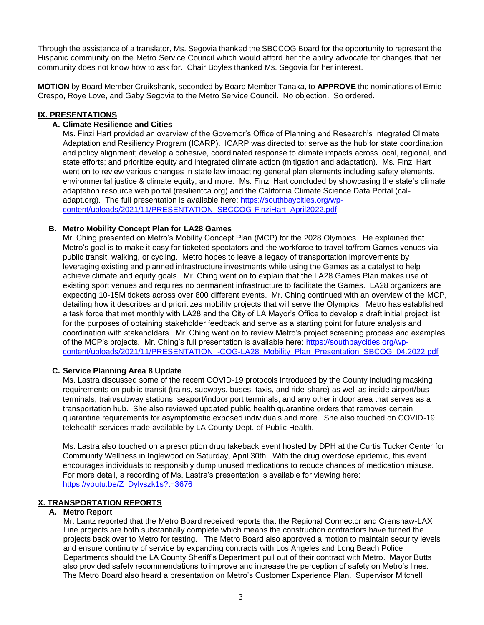Through the assistance of a translator, Ms. Segovia thanked the SBCCOG Board for the opportunity to represent the Hispanic community on the Metro Service Council which would afford her the ability advocate for changes that her community does not know how to ask for. Chair Boyles thanked Ms. Segovia for her interest.

**MOTION** by Board Member Cruikshank, seconded by Board Member Tanaka, to **APPROVE** the nominations of Ernie Crespo, Roye Love, and Gaby Segovia to the Metro Service Council. No objection. So ordered.

#### **IX. PRESENTATIONS**

#### **A. Climate Resilience and Cities**

Ms. Finzi Hart provided an overview of the Governor's Office of Planning and Research's Integrated Climate Adaptation and Resiliency Program (ICARP). ICARP was directed to: serve as the hub for state coordination and policy alignment; develop a cohesive, coordinated response to climate impacts across local, regional, and state efforts; and prioritize equity and integrated climate action (mitigation and adaptation). Ms. Finzi Hart went on to review various changes in state law impacting general plan elements including safety elements, environmental justice & climate equity, and more. Ms. Finzi Hart concluded by showcasing the state's climate adaptation resource web portal (resilientca.org) and the California Climate Science Data Portal (caladapt.org). The full presentation is available here: [https://southbaycities.org/wp](https://southbaycities.org/wp-content/uploads/2021/11/PRESENTATION_SBCCOG-FinziHart_April2022.pdf)[content/uploads/2021/11/PRESENTATION\\_SBCCOG-FinziHart\\_April2022.pdf](https://southbaycities.org/wp-content/uploads/2021/11/PRESENTATION_SBCCOG-FinziHart_April2022.pdf)

#### **B. Metro Mobility Concept Plan for LA28 Games**

Mr. Ching presented on Metro's Mobility Concept Plan (MCP) for the 2028 Olympics. He explained that Metro's goal is to make it easy for ticketed spectators and the workforce to travel to/from Games venues via public transit, walking, or cycling. Metro hopes to leave a legacy of transportation improvements by leveraging existing and planned infrastructure investments while using the Games as a catalyst to help achieve climate and equity goals. Mr. Ching went on to explain that the LA28 Games Plan makes use of existing sport venues and requires no permanent infrastructure to facilitate the Games. LA28 organizers are expecting 10-15M tickets across over 800 different events. Mr. Ching continued with an overview of the MCP, detailing how it describes and prioritizes mobility projects that will serve the Olympics. Metro has established a task force that met monthly with LA28 and the City of LA Mayor's Office to develop a draft initial project list for the purposes of obtaining stakeholder feedback and serve as a starting point for future analysis and coordination with stakeholders. Mr. Ching went on to review Metro's project screening process and examples of the MCP's projects. Mr. Ching's full presentation is available here: [https://southbaycities.org/wp](https://southbaycities.org/wp-content/uploads/2021/11/PRESENTATION_-COG-LA28_Mobility_Plan_Presentation_SBCOG_04.2022.pdf)content/uploads/2021/11/PRESENTATION -COG-LA28 Mobility Plan\_Presentation\_SBCOG\_04.2022.pdf

#### **C. Service Planning Area 8 Update**

Ms. Lastra discussed some of the recent COVID-19 protocols introduced by the County including masking requirements on public transit (trains, subways, buses, taxis, and ride-share) as well as inside airport/bus terminals, train/subway stations, seaport/indoor port terminals, and any other indoor area that serves as a transportation hub. She also reviewed updated public health quarantine orders that removes certain quarantine requirements for asymptomatic exposed individuals and more. She also touched on COVID-19 telehealth services made available by LA County Dept. of Public Health.

Ms. Lastra also touched on a prescription drug takeback event hosted by DPH at the Curtis Tucker Center for Community Wellness in Inglewood on Saturday, April 30th. With the drug overdose epidemic, this event encourages individuals to responsibly dump unused medications to reduce chances of medication misuse. For more detail, a recording of Ms. Lastra's presentation is available for viewing here: [https://youtu.be/Z\\_Dylvszk1s?t=3676](https://youtu.be/Z_Dylvszk1s?t=3676)

#### **X. TRANSPORTATION REPORTS**

#### **A. Metro Report**

Mr. Lantz reported that the Metro Board received reports that the Regional Connector and Crenshaw-LAX Line projects are both substantially complete which means the construction contractors have turned the projects back over to Metro for testing. The Metro Board also approved a motion to maintain security levels and ensure continuity of service by expanding contracts with Los Angeles and Long Beach Police Departments should the LA County Sheriff's Department pull out of their contract with Metro. Mayor Butts also provided safety recommendations to improve and increase the perception of safety on Metro's lines. The Metro Board also heard a presentation on Metro's Customer Experience Plan. Supervisor Mitchell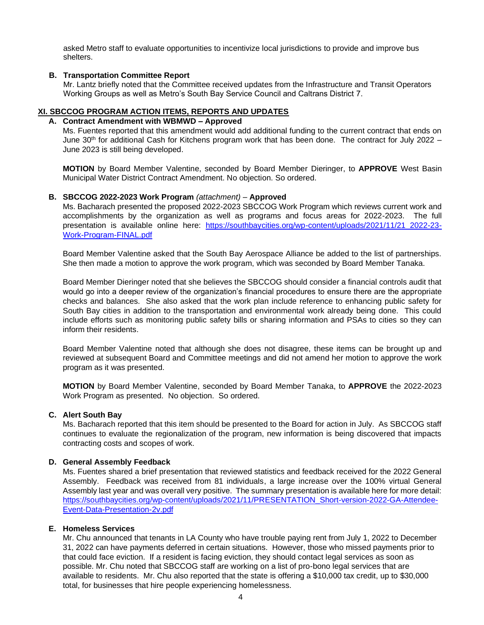asked Metro staff to evaluate opportunities to incentivize local jurisdictions to provide and improve bus shelters.

#### **B. Transportation Committee Report**

Mr. Lantz briefly noted that the Committee received updates from the Infrastructure and Transit Operators Working Groups as well as Metro's South Bay Service Council and Caltrans District 7.

#### **XI. SBCCOG PROGRAM ACTION ITEMS, REPORTS AND UPDATES**

#### **A. Contract Amendment with WBMWD – Approved**

Ms. Fuentes reported that this amendment would add additional funding to the current contract that ends on June 30<sup>th</sup> for additional Cash for Kitchens program work that has been done. The contract for July 2022 – June 2023 is still being developed.

**MOTION** by Board Member Valentine, seconded by Board Member Dieringer, to **APPROVE** West Basin Municipal Water District Contract Amendment. No objection. So ordered.

#### **B. SBCCOG 2022-2023 Work Program** *(attachment)* – **Approved**

Ms. Bacharach presented the proposed 2022-2023 SBCCOG Work Program which reviews current work and accomplishments by the organization as well as programs and focus areas for 2022-2023. The full presentation is available online here: [https://southbaycities.org/wp-content/uploads/2021/11/21\\_2022-23-](https://southbaycities.org/wp-content/uploads/2021/11/21_2022-23-Work-Program-FINAL.pdf) [Work-Program-FINAL.pdf](https://southbaycities.org/wp-content/uploads/2021/11/21_2022-23-Work-Program-FINAL.pdf) 

Board Member Valentine asked that the South Bay Aerospace Alliance be added to the list of partnerships. She then made a motion to approve the work program, which was seconded by Board Member Tanaka.

Board Member Dieringer noted that she believes the SBCCOG should consider a financial controls audit that would go into a deeper review of the organization's financial procedures to ensure there are the appropriate checks and balances. She also asked that the work plan include reference to enhancing public safety for South Bay cities in addition to the transportation and environmental work already being done. This could include efforts such as monitoring public safety bills or sharing information and PSAs to cities so they can inform their residents.

Board Member Valentine noted that although she does not disagree, these items can be brought up and reviewed at subsequent Board and Committee meetings and did not amend her motion to approve the work program as it was presented.

**MOTION** by Board Member Valentine, seconded by Board Member Tanaka, to **APPROVE** the 2022-2023 Work Program as presented. No objection. So ordered.

#### **C. Alert South Bay**

Ms. Bacharach reported that this item should be presented to the Board for action in July. As SBCCOG staff continues to evaluate the regionalization of the program, new information is being discovered that impacts contracting costs and scopes of work.

#### **D. General Assembly Feedback**

Ms. Fuentes shared a brief presentation that reviewed statistics and feedback received for the 2022 General Assembly. Feedback was received from 81 individuals, a large increase over the 100% virtual General Assembly last year and was overall very positive. The summary presentation is available here for more detail: [https://southbaycities.org/wp-content/uploads/2021/11/PRESENTATION\\_Short-version-2022-GA-Attendee-](https://southbaycities.org/wp-content/uploads/2021/11/PRESENTATION_Short-version-2022-GA-Attendee-Event-Data-Presentation-2v.pdf)[Event-Data-Presentation-2v.pdf](https://southbaycities.org/wp-content/uploads/2021/11/PRESENTATION_Short-version-2022-GA-Attendee-Event-Data-Presentation-2v.pdf)

#### **E. Homeless Services**

Mr. Chu announced that tenants in LA County who have trouble paying rent from July 1, 2022 to December 31, 2022 can have payments deferred in certain situations. However, those who missed payments prior to that could face eviction. If a resident is facing eviction, they should contact legal services as soon as possible. Mr. Chu noted that SBCCOG staff are working on a list of pro-bono legal services that are available to residents. Mr. Chu also reported that the state is offering a \$10,000 tax credit, up to \$30,000 total, for businesses that hire people experiencing homelessness.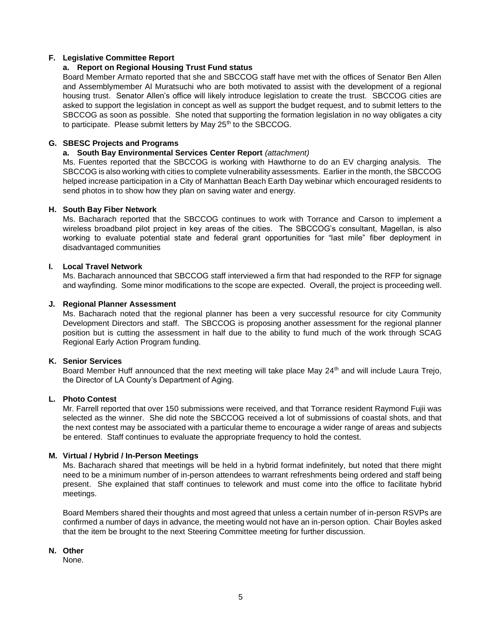#### **F. Legislative Committee Report**

#### **a. Report on Regional Housing Trust Fund status**

Board Member Armato reported that she and SBCCOG staff have met with the offices of Senator Ben Allen and Assemblymember Al Muratsuchi who are both motivated to assist with the development of a regional housing trust. Senator Allen's office will likely introduce legislation to create the trust. SBCCOG cities are asked to support the legislation in concept as well as support the budget request, and to submit letters to the SBCCOG as soon as possible. She noted that supporting the formation legislation in no way obligates a city to participate. Please submit letters by May 25<sup>th</sup> to the SBCCOG.

#### **G. SBESC Projects and Programs**

#### **a. South Bay Environmental Services Center Report** *(attachment)*

Ms. Fuentes reported that the SBCCOG is working with Hawthorne to do an EV charging analysis. The SBCCOG is also working with cities to complete vulnerability assessments. Earlier in the month, the SBCCOG helped increase participation in a City of Manhattan Beach Earth Day webinar which encouraged residents to send photos in to show how they plan on saving water and energy.

#### **H. South Bay Fiber Network**

Ms. Bacharach reported that the SBCCOG continues to work with Torrance and Carson to implement a wireless broadband pilot project in key areas of the cities. The SBCCOG's consultant, Magellan, is also working to evaluate potential state and federal grant opportunities for "last mile" fiber deployment in disadvantaged communities

#### **I. Local Travel Network**

Ms. Bacharach announced that SBCCOG staff interviewed a firm that had responded to the RFP for signage and wayfinding. Some minor modifications to the scope are expected. Overall, the project is proceeding well.

#### **J. Regional Planner Assessment**

Ms. Bacharach noted that the regional planner has been a very successful resource for city Community Development Directors and staff. The SBCCOG is proposing another assessment for the regional planner position but is cutting the assessment in half due to the ability to fund much of the work through SCAG Regional Early Action Program funding.

#### **K. Senior Services**

Board Member Huff announced that the next meeting will take place May  $24<sup>th</sup>$  and will include Laura Trejo, the Director of LA County's Department of Aging.

#### **L. Photo Contest**

Mr. Farrell reported that over 150 submissions were received, and that Torrance resident Raymond Fujii was selected as the winner. She did note the SBCCOG received a lot of submissions of coastal shots, and that the next contest may be associated with a particular theme to encourage a wider range of areas and subjects be entered. Staff continues to evaluate the appropriate frequency to hold the contest.

#### **M. Virtual / Hybrid / In-Person Meetings**

Ms. Bacharach shared that meetings will be held in a hybrid format indefinitely, but noted that there might need to be a minimum number of in-person attendees to warrant refreshments being ordered and staff being present. She explained that staff continues to telework and must come into the office to facilitate hybrid meetings.

Board Members shared their thoughts and most agreed that unless a certain number of in-person RSVPs are confirmed a number of days in advance, the meeting would not have an in-person option. Chair Boyles asked that the item be brought to the next Steering Committee meeting for further discussion.

### **N. Other**

None.